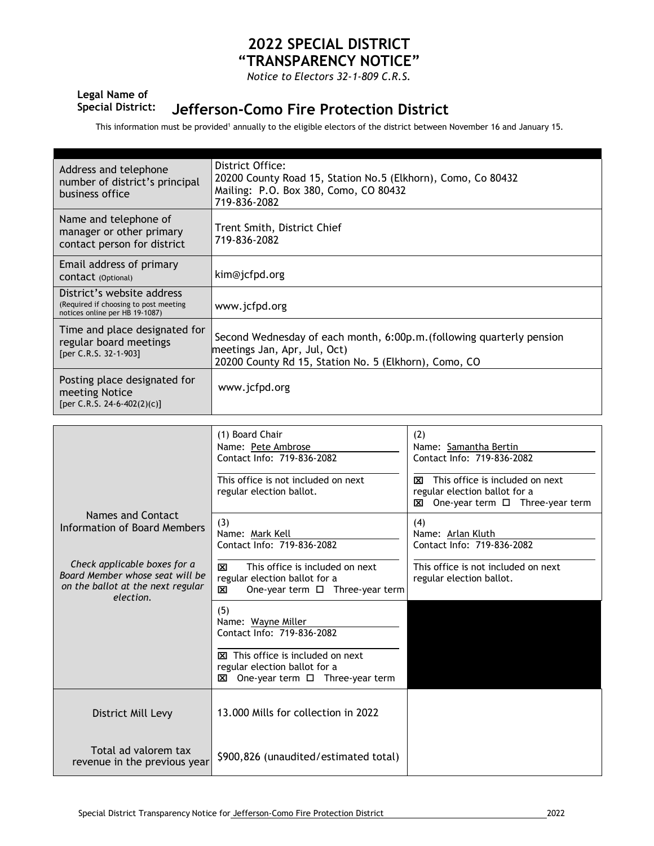## **2022 SPECIAL DISTRICT "TRANSPARENCY NOTICE"**

*Notice to Electors 32-1-809 C.R.S.*

## **Legal Name of**

## **Special District: Jefferson-Como Fire Protection District**

This information must be provided<sup>1</sup> annually to the eligible electors of the district between November 16 and January 15.

| Address and telephone<br>number of district's principal<br>business office                                        | District Office:<br>20200 County Road 15, Station No.5 (Elkhorn), Como, Co 80432<br>Mailing: P.O. Box 380, Como, CO 80432<br>719-836-2082                      |                                                                                                                          |  |
|-------------------------------------------------------------------------------------------------------------------|----------------------------------------------------------------------------------------------------------------------------------------------------------------|--------------------------------------------------------------------------------------------------------------------------|--|
| Name and telephone of<br>manager or other primary<br>contact person for district                                  | Trent Smith, District Chief<br>719-836-2082                                                                                                                    |                                                                                                                          |  |
| Email address of primary<br>CONTACT (Optional)                                                                    | kim@jcfpd.org                                                                                                                                                  |                                                                                                                          |  |
| District's website address<br>(Required if choosing to post meeting<br>notices online per HB 19-1087)             | www.jcfpd.org                                                                                                                                                  |                                                                                                                          |  |
| Time and place designated for<br>regular board meetings<br>[per C.R.S. 32-1-903]                                  | Second Wednesday of each month, 6:00p.m. (following quarterly pension<br>meetings Jan, Apr, Jul, Oct)<br>20200 County Rd 15, Station No. 5 (Elkhorn), Como, CO |                                                                                                                          |  |
| Posting place designated for<br>meeting Notice<br>[per C.R.S. 24-6-402(2)(c)]                                     | www.jcfpd.org                                                                                                                                                  |                                                                                                                          |  |
|                                                                                                                   |                                                                                                                                                                |                                                                                                                          |  |
|                                                                                                                   | (1) Board Chair<br>Name: Pete Ambrose<br>Contact Info: 719-836-2082                                                                                            | (2)<br>Name: Samantha Bertin<br>Contact Info: 719-836-2082                                                               |  |
|                                                                                                                   | This office is not included on next<br>regular election ballot.                                                                                                | $\boxtimes$ This office is included on next<br>regular election ballot for a<br><b>⊠</b> One-year term □ Three-year term |  |
| <b>Names and Contact</b><br><b>Information of Board Members</b>                                                   | (3)<br>Name: Mark Kell<br>Contact Info: 719-836-2082                                                                                                           | (4)<br>Name: Arlan Kluth<br>Contact Info: 719-836-2082                                                                   |  |
| Check applicable boxes for a<br>Board Member whose seat will be<br>on the ballot at the next regular<br>election. | This office is included on next<br>⊠<br>regular election ballot for a<br>One-year term □ Three-year term<br>⊠                                                  | This office is not included on next<br>regular election ballot.                                                          |  |
|                                                                                                                   | (5)<br>Name: Wayne Miller<br>Contact Info: 719-836-2082                                                                                                        |                                                                                                                          |  |
|                                                                                                                   | This office is included on next<br>regular election ballot for a<br>$\boxtimes$ One-year term $\square$ Three-year term                                        |                                                                                                                          |  |
| District Mill Levy                                                                                                | 13,000 Mills for collection in 2022                                                                                                                            |                                                                                                                          |  |
| Total ad valorem tax<br>revenue in the previous year                                                              | \$900,826 (unaudited/estimated total)                                                                                                                          |                                                                                                                          |  |